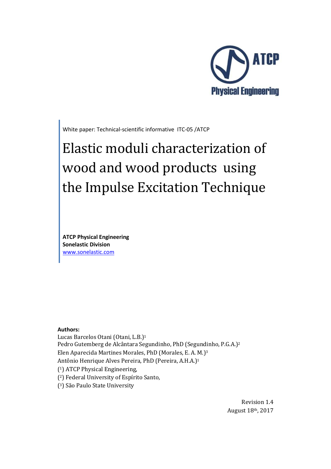

White paper: Technical-scientific informative ITC-05 /ATCP

# Elastic moduli characterization of wood and wood products using the Impulse Excitation Technique

**ATCP Physical Engineering Sonelastic Division**  www.sonelastic.com

#### **Authors:**

Lucas Barcelos Otani (Otani, L.B.)<sup>1</sup> Pedro Gutemberg de Alcântara Segundinho, PhD (Segundinho, P.G.A.)<sup>2</sup> Elen Aparecida Martines Morales, PhD (Morales, E. A. M.)<sup>3</sup> Antônio Henrique Alves Pereira, PhD (Pereira, A.H.A.)<sup>1</sup> ( <sup>1</sup>) ATCP Physical Engineering, ( <sup>2</sup>) Federal University of Espírito Santo, ( <sup>3</sup>) São Paulo State University

> Revision 1.4 August 18th, 2017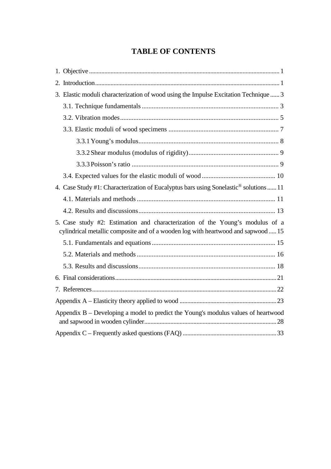# **TABLE OF CONTENTS**

| 3. Elastic moduli characterization of wood using the Impulse Excitation Technique  3                                                                               |
|--------------------------------------------------------------------------------------------------------------------------------------------------------------------|
|                                                                                                                                                                    |
|                                                                                                                                                                    |
|                                                                                                                                                                    |
|                                                                                                                                                                    |
|                                                                                                                                                                    |
|                                                                                                                                                                    |
|                                                                                                                                                                    |
| 4. Case Study #1: Characterization of Eucalyptus bars using Sonelastic <sup>®</sup> solutions  11                                                                  |
|                                                                                                                                                                    |
|                                                                                                                                                                    |
| 5. Case study #2: Estimation and characterization of the Young's modulus of a<br>cylindrical metallic composite and of a wooden log with heartwood and sapwood  15 |
|                                                                                                                                                                    |
|                                                                                                                                                                    |
|                                                                                                                                                                    |
|                                                                                                                                                                    |
|                                                                                                                                                                    |
|                                                                                                                                                                    |
| Appendix B – Developing a model to predict the Young's modulus values of heartwood                                                                                 |
|                                                                                                                                                                    |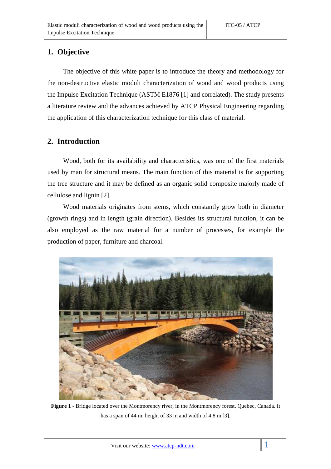## **1. Objective**

The objective of this white paper is to introduce the theory and methodology for the non-destructive elastic moduli characterization of wood and wood products using the Impulse Excitation Technique (ASTM E1876 [1] and correlated). The study presents a literature review and the advances achieved by ATCP Physical Engineering regarding the application of this characterization technique for this class of material.

## **2. Introduction**

Wood, both for its availability and characteristics, was one of the first materials used by man for structural means. The main function of this material is for supporting the tree structure and it may be defined as an organic solid composite majorly made of cellulose and lignin [2].

Wood materials originates from stems, which constantly grow both in diameter (growth rings) and in length (grain direction). Besides its structural function, it can be also employed as the raw material for a number of processes, for example the production of paper, furniture and charcoal.



**Figure 1** - Bridge located over the Montmorency river, in the Montmorency forest, Quebec, Canada. It has a span of 44 m, height of 33 m and width of 4.8 m [3].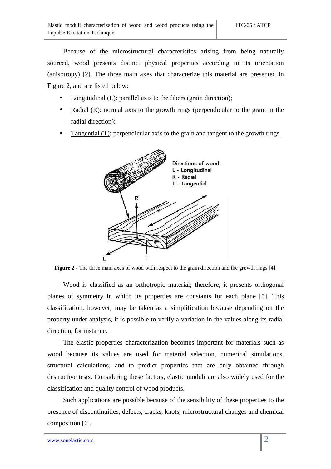Because of the microstructural characteristics arising from being naturally sourced, wood presents distinct physical properties according to its orientation (anisotropy) [2]. The three main axes that characterize this material are presented in Figure 2, and are listed below:

- Longitudinal (L): parallel axis to the fibers (grain direction);
- Radial (R): normal axis to the growth rings (perpendicular to the grain in the radial direction);
- Tangential (T): perpendicular axis to the grain and tangent to the growth rings.



**Figure 2** - The three main axes of wood with respect to the grain direction and the growth rings [4].

Wood is classified as an orthotropic material; therefore, it presents orthogonal planes of symmetry in which its properties are constants for each plane [5]. This classification, however, may be taken as a simplification because depending on the property under analysis, it is possible to verify a variation in the values along its radial direction, for instance.

The elastic properties characterization becomes important for materials such as wood because its values are used for material selection, numerical simulations, structural calculations, and to predict properties that are only obtained through destructive tests. Considering these factors, elastic moduli are also widely used for the classification and quality control of wood products.

Such applications are possible because of the sensibility of these properties to the presence of discontinuities, defects, cracks, knots, microstructural changes and chemical composition [6].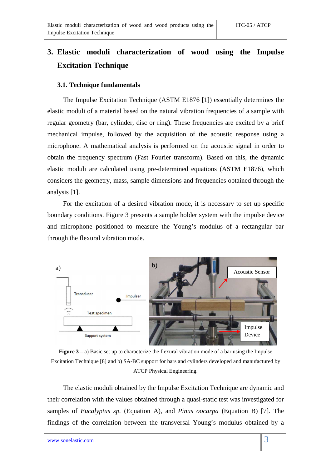# **3. Elastic moduli characterization of wood using the Impulse Excitation Technique**

#### **3.1. Technique fundamentals**

The Impulse Excitation Technique (ASTM E1876 [1]) essentially determines the elastic moduli of a material based on the natural vibration frequencies of a sample with regular geometry (bar, cylinder, disc or ring). These frequencies are excited by a brief mechanical impulse, followed by the acquisition of the acoustic response using a microphone. A mathematical analysis is performed on the acoustic signal in order to obtain the frequency spectrum (Fast Fourier transform). Based on this, the dynamic elastic moduli are calculated using pre-determined equations (ASTM E1876), which considers the geometry, mass, sample dimensions and frequencies obtained through the analysis [1].

For the excitation of a desired vibration mode, it is necessary to set up specific boundary conditions. Figure 3 presents a sample holder system with the impulse device and microphone positioned to measure the Young's modulus of a rectangular bar through the flexural vibration mode.



**Figure 3** – a) Basic set up to characterize the flexural vibration mode of a bar using the Impulse Excitation Technique [8] and b) SA-BC support for bars and cylinders developed and manufactured by ATCP Physical Engineering.

The elastic moduli obtained by the Impulse Excitation Technique are dynamic and their correlation with the values obtained through a quasi-static test was investigated for samples of *Eucalyptus sp.* (Equation A), and *Pinus oocarpa* (Equation B) [7]. The findings of the correlation between the transversal Young's modulus obtained by a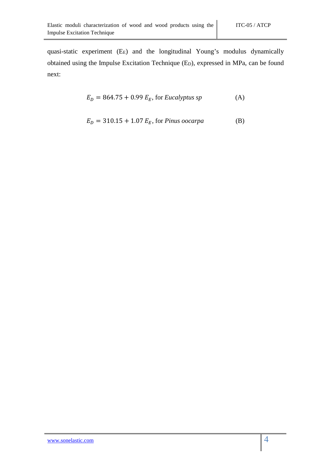quasi-static experiment (E<sub>E</sub>) and the longitudinal Young's modulus dynamically obtained using the Impulse Excitation Technique (E<sub>D</sub>), expressed in MPa, can be found next:

$$
E_D = 864.75 + 0.99 E_E, \text{ for Eucalyptus sp
$$
 (A)

$$
E_D = 310.15 + 1.07 E_E, \text{ for } Pinus \text{ oocarpa} \tag{B}
$$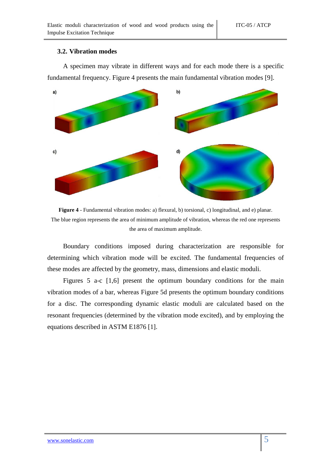#### **3.2. Vibration modes**

A specimen may vibrate in different ways and for each mode there is a specific fundamental frequency. Figure 4 presents the main fundamental vibration modes [9].



**Figure 4** - Fundamental vibration modes: a) flexural, b) torsional, c) longitudinal, and e) planar. The blue region represents the area of minimum amplitude of vibration, whereas the red one represents the area of maximum amplitude.

Boundary conditions imposed during characterization are responsible for determining which vibration mode will be excited. The fundamental frequencies of these modes are affected by the geometry, mass, dimensions and elastic moduli.

Figures 5 a-c [1,6] present the optimum boundary conditions for the main vibration modes of a bar, whereas Figure 5d presents the optimum boundary conditions for a disc. The corresponding dynamic elastic moduli are calculated based on the resonant frequencies (determined by the vibration mode excited), and by employing the equations described in ASTM E1876 [1].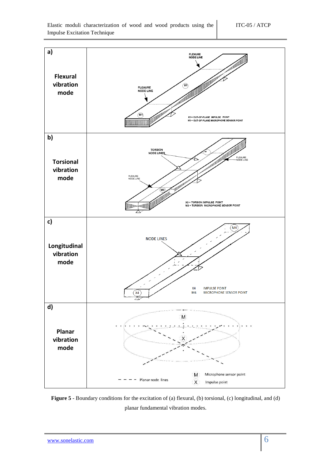

**Figure 5** - Boundary conditions for the excitation of (a) flexural, (b) torsional, (c) longitudinal, and (d) planar fundamental vibration modes.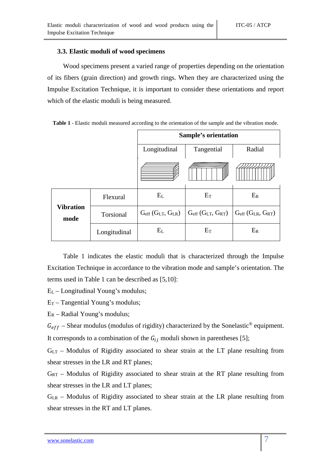#### **3.3. Elastic moduli of wood specimens**

Wood specimens present a varied range of properties depending on the orientation of its fibers (grain direction) and growth rings. When they are characterized using the Impulse Excitation Technique, it is important to consider these orientations and report which of the elastic moduli is being measured.

|  |  | Table 1 - Elastic moduli measured according to the orientation of the sample and the vibration mode. |  |  |  |  |
|--|--|------------------------------------------------------------------------------------------------------|--|--|--|--|
|  |  |                                                                                                      |  |  |  |  |

|                          |              |                          | <b>Sample's orientation</b>       |                                   |
|--------------------------|--------------|--------------------------|-----------------------------------|-----------------------------------|
|                          |              | Longitudinal             | Tangential                        | Radial                            |
|                          |              |                          |                                   |                                   |
|                          | Flexural     | $E_{L}$                  | $E_T$                             | $E_R$                             |
| <b>Vibration</b><br>mode | Torsional    | $Geff$ ( $GLT$ , $GLR$ ) | $G_{eff}$ ( $G_{LT}$ , $G_{RT}$ ) | $G_{eff}$ ( $G_{LR}$ , $G_{RT}$ ) |
|                          | Longitudinal | $E_{L}$                  | $E_T$                             | $E_R$                             |

Table 1 indicates the elastic moduli that is characterized through the Impulse Excitation Technique in accordance to the vibration mode and sample's orientation. The terms used in Table 1 can be described as [5,10]:

EL – Longitudinal Young's modulus;

 $E_T$  – Tangential Young's modulus;

 $E_R$  – Radial Young's modulus;

 $G_{eff}$  – Shear modulus (modulus of rigidity) characterized by the Sonelastic<sup>®</sup> equipment. It corresponds to a combination of the  $G_{ij}$  moduli shown in parentheses [5];

GLT – Modulus of Rigidity associated to shear strain at the LT plane resulting from shear stresses in the LR and RT planes;

 $G_{RT}$  – Modulus of Rigidity associated to shear strain at the RT plane resulting from shear stresses in the LR and LT planes;

GLR – Modulus of Rigidity associated to shear strain at the LR plane resulting from shear stresses in the RT and LT planes.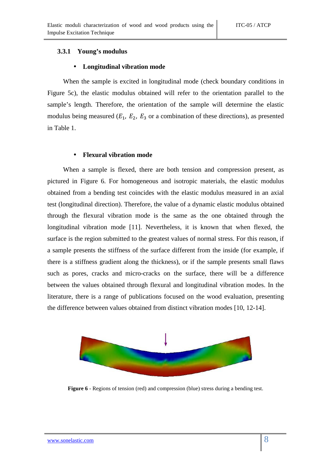#### **3.3.1 Young's modulus**

#### • **Longitudinal vibration mode**

When the sample is excited in longitudinal mode (check boundary conditions in Figure 5c), the elastic modulus obtained will refer to the orientation parallel to the sample's length. Therefore, the orientation of the sample will determine the elastic modulus being measured ( $E_1$ ,  $E_2$ ,  $E_3$  or a combination of these directions), as presented in Table 1.

#### • **Flexural vibration mode**

When a sample is flexed, there are both tension and compression present, as pictured in Figure 6. For homogeneous and isotropic materials, the elastic modulus obtained from a bending test coincides with the elastic modulus measured in an axial test (longitudinal direction). Therefore, the value of a dynamic elastic modulus obtained through the flexural vibration mode is the same as the one obtained through the longitudinal vibration mode [11]. Nevertheless, it is known that when flexed, the surface is the region submitted to the greatest values of normal stress. For this reason, if a sample presents the stiffness of the surface different from the inside (for example, if there is a stiffness gradient along the thickness), or if the sample presents small flaws such as pores, cracks and micro-cracks on the surface, there will be a difference between the values obtained through flexural and longitudinal vibration modes. In the literature, there is a range of publications focused on the wood evaluation, presenting the difference between values obtained from distinct vibration modes [10, 12-14].



**Figure 6** - Regions of tension (red) and compression (blue) stress during a bending test.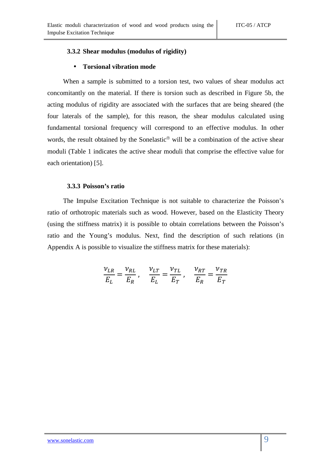#### **3.3.2 Shear modulus (modulus of rigidity)**

#### • **Torsional vibration mode**

When a sample is submitted to a torsion test, two values of shear modulus act concomitantly on the material. If there is torsion such as described in Figure 5b, the acting modulus of rigidity are associated with the surfaces that are being sheared (the four laterals of the sample), for this reason, the shear modulus calculated using fundamental torsional frequency will correspond to an effective modulus. In other words, the result obtained by the Sonelastic® will be a combination of the active shear moduli (Table 1 indicates the active shear moduli that comprise the effective value for each orientation) [5].

#### **3.3.3 Poisson's ratio**

The Impulse Excitation Technique is not suitable to characterize the Poisson's ratio of orthotropic materials such as wood. However, based on the Elasticity Theory (using the stiffness matrix) it is possible to obtain correlations between the Poisson's ratio and the Young's modulus. Next, find the description of such relations (in Appendix A is possible to visualize the stiffness matrix for these materials):

$$
\frac{\nu_{LR}}{E_L} = \frac{\nu_{RL}}{E_R} , \quad \frac{\nu_{LT}}{E_L} = \frac{\nu_{TL}}{E_T} , \quad \frac{\nu_{RT}}{E_R} = \frac{\nu_{TR}}{E_T}
$$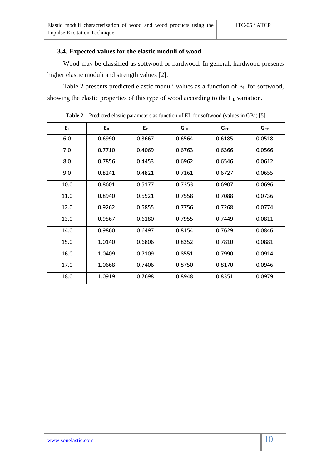#### **3.4. Expected values for the elastic moduli of wood**

Wood may be classified as softwood or hardwood. In general, hardwood presents higher elastic moduli and strength values [2].

Table 2 presents predicted elastic moduli values as a function of EL for softwood, showing the elastic properties of this type of wood according to the EL variation.

| $E_L$ | $E_R$  | $E_T$  | $G_{LR}$ | G <sub>LT</sub> | $G_{RT}$ |
|-------|--------|--------|----------|-----------------|----------|
| 6.0   | 0.6990 | 0.3667 | 0.6564   | 0.6185          | 0.0518   |
| 7.0   | 0.7710 | 0.4069 | 0.6763   | 0.6366          | 0.0566   |
| 8.0   | 0.7856 | 0.4453 | 0.6962   | 0.6546          | 0.0612   |
| 9.0   | 0.8241 | 0.4821 | 0.7161   | 0.6727          | 0.0655   |
| 10.0  | 0.8601 | 0.5177 | 0.7353   | 0.6907          | 0.0696   |
| 11.0  | 0.8940 | 0.5521 | 0.7558   | 0.7088          | 0.0736   |
| 12.0  | 0.9262 | 0.5855 | 0.7756   | 0.7268          | 0.0774   |
| 13.0  | 0.9567 | 0.6180 | 0.7955   | 0.7449          | 0.0811   |
| 14.0  | 0.9860 | 0.6497 | 0.8154   | 0.7629          | 0.0846   |
| 15.0  | 1.0140 | 0.6806 | 0.8352   | 0.7810          | 0.0881   |
| 16.0  | 1.0409 | 0.7109 | 0.8551   | 0.7990          | 0.0914   |
| 17.0  | 1.0668 | 0.7406 | 0.8750   | 0.8170          | 0.0946   |
| 18.0  | 1.0919 | 0.7698 | 0.8948   | 0.8351          | 0.0979   |

**Table 2** – Predicted elastic parameters as function of EL for softwood (values in GPa) [5]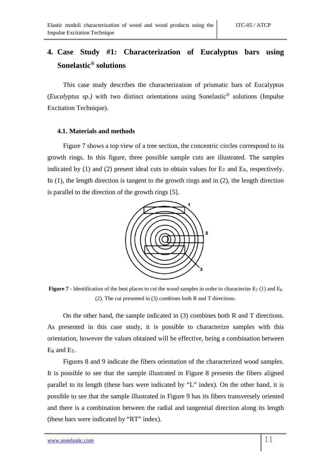# **4. Case Study #1: Characterization of Eucalyptus bars using Sonelastic® solutions**

This case study describes the characterization of prismatic bars of Eucalyptus (*Eucalyptus sp.)* with two distinct orientations using Sonelastic® solutions (Impulse Excitation Technique).

#### **4.1. Materials and methods**

Figure 7 shows a top view of a tree section, the concentric circles correspond to its growth rings. In this figure, three possible sample cuts are illustrated. The samples indicated by (1) and (2) present ideal cuts to obtain values for  $E_T$  and  $E_R$ , respectively. In (1), the length direction is tangent to the growth rings and in (2), the length direction is parallel to the direction of the growth rings [5].



**Figure 7** - Identification of the best places to cut the wood samples in order to characterize  $E_T$  (1) and  $E_R$ (2). The cut presented in (3) combines both R and T directions.

On the other hand, the sample indicated in (3) combines both R and T directions. As presented in this case study, it is possible to characterize samples with this orientation, however the values obtained will be effective, being a combination between ER and ET.

Figures 8 and 9 indicate the fibers orientation of the characterized wood samples. It is possible to see that the sample illustrated in Figure 8 presents the fibers aligned parallel to its length (these bars were indicated by "L" index). On the other hand, it is possible to see that the sample illustrated in Figure 9 has its fibers transversely oriented and there is a combination between the radial and tangential direction along its length (these bars were indicated by "RT" index).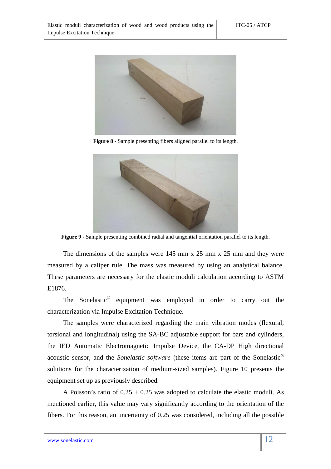

**Figure 8** - Sample presenting fibers aligned parallel to its length.



**Figure 9** - Sample presenting combined radial and tangential orientation parallel to its length.

The dimensions of the samples were 145 mm x 25 mm x 25 mm and they were measured by a caliper rule. The mass was measured by using an analytical balance. These parameters are necessary for the elastic moduli calculation according to ASTM E1876.

The Sonelastic® equipment was employed in order to carry out the characterization via Impulse Excitation Technique.

The samples were characterized regarding the main vibration modes (flexural, torsional and longitudinal) using the SA-BC adjustable support for bars and cylinders, the IED Automatic Electromagnetic Impulse Device, the CA-DP High directional acoustic sensor, and the *Sonelastic software* (these items are part of the Sonelastic® solutions for the characterization of medium-sized samples). Figure 10 presents the equipment set up as previously described.

A Poisson's ratio of  $0.25 \pm 0.25$  was adopted to calculate the elastic moduli. As mentioned earlier, this value may vary significantly according to the orientation of the fibers. For this reason, an uncertainty of 0.25 was considered, including all the possible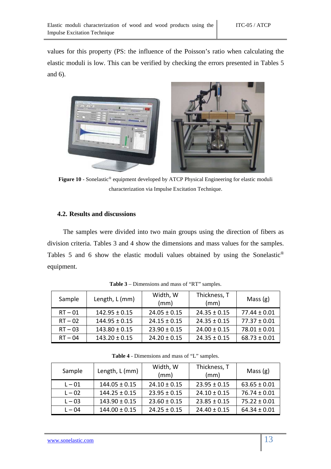values for this property (PS: the influence of the Poisson's ratio when calculating the elastic moduli is low. This can be verified by checking the errors presented in Tables 5 and 6).



Figure 10 - Sonelastic<sup>®</sup> equipment developed by ATCP Physical Engineering for elastic moduli characterization via Impulse Excitation Technique.

#### **4.2. Results and discussions**

The samples were divided into two main groups using the direction of fibers as division criteria. Tables 3 and 4 show the dimensions and mass values for the samples. Tables 5 and 6 show the elastic moduli values obtained by using the Sonelastic® equipment.

| Sample    | Length, L (mm)    | Width, W<br>(mm) | Thickness, T<br>(mm) | Mass $(g)$       |
|-----------|-------------------|------------------|----------------------|------------------|
| $RT - 01$ | $142.95 \pm 0.15$ | $24.05 \pm 0.15$ | $24.35 \pm 0.15$     | $77.44 \pm 0.01$ |
| $RT - 02$ | $144.95 \pm 0.15$ | $24.15 \pm 0.15$ | $24.35 \pm 0.15$     | $77.37 \pm 0.01$ |
| $RT - 03$ | $143.80 \pm 0.15$ | $23.90 \pm 0.15$ | $24.00 \pm 0.15$     | $78.01 \pm 0.01$ |
| $RT - 04$ | $143.20 \pm 0.15$ | $24.20 \pm 0.15$ | $24.35 \pm 0.15$     | $68.73 \pm 0.01$ |

**Table 3** – Dimensions and mass of "RT" samples.

| <b>Table 4</b> - Dimensions and mass of "L" samples. |          |              |  |  |  |  |
|------------------------------------------------------|----------|--------------|--|--|--|--|
| $[\\onath   [m]$                                     | Width, W | Thickness, T |  |  |  |  |

| Sample   | Length, L (mm)    | Width, W<br>(mm) | Thickness, T<br>(mm) | Mass $(g)$       |
|----------|-------------------|------------------|----------------------|------------------|
| $L - 01$ | $144.05 \pm 0.15$ | $24.10 \pm 0.15$ | $23.95 \pm 0.15$     | $63.65 \pm 0.01$ |
| $L - 02$ | $144.25 \pm 0.15$ | $23.95 \pm 0.15$ | $24.10 \pm 0.15$     | $76.74 \pm 0.01$ |
| $L - 03$ | $143.90 \pm 0.15$ | $23.60 \pm 0.15$ | $23.85 \pm 0.15$     | $75.22 \pm 0.01$ |
| $L - 04$ | $144.00 \pm 0.15$ | $24.25 \pm 0.15$ | $24.40 \pm 0.15$     | $64.34 \pm 0.01$ |

Г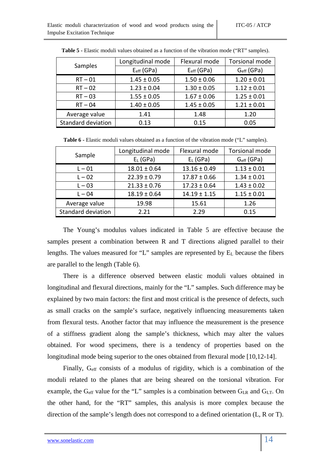|                           | Longitudinal mode      | Flexural mode   | <b>Torsional mode</b> |
|---------------------------|------------------------|-----------------|-----------------------|
| Samples                   | $E_{\text{eff}}$ (GPa) | $E_{eff}$ (GPa) | $Geff$ (GPa)          |
| $RT - 01$                 | $1.45 \pm 0.05$        | $1.50 \pm 0.06$ | $1.20 \pm 0.01$       |
| $RT - 02$                 | $1.23 \pm 0.04$        | $1.30 \pm 0.05$ | $1.12 \pm 0.01$       |
| $RT - 03$                 | $1.55 \pm 0.05$        | $1.67 \pm 0.06$ | $1.25 \pm 0.01$       |
| $RT - 04$                 | $1.40 \pm 0.05$        | $1.45 \pm 0.05$ | $1.21 \pm 0.01$       |
| Average value             | 1.41                   | 1.48            | 1.20                  |
| <b>Standard deviation</b> | 0.13                   | 0.15            | 0.05                  |

**Table 5 -** Elastic moduli values obtained as a function of the vibration mode ("RT" samples).

Table 6 - Elastic moduli values obtained as a function of the vibration mode ("L" samples).

|                    | Longitudinal mode | Flexural mode    | <b>Torsional mode</b> |
|--------------------|-------------------|------------------|-----------------------|
| Sample             | $E_L$ (GPa)       | $E_L$ (GPa)      | $Geff$ (GPa)          |
| $L - 01$           | $18.01 \pm 0.64$  | $13.16 \pm 0.49$ | $1.13 \pm 0.01$       |
| $L - 02$           | $22.39 \pm 0.79$  | $17.87 \pm 0.66$ | $1.34 \pm 0.01$       |
| $L - 03$           | $21.33 \pm 0.76$  | $17.23 \pm 0.64$ | $1.43 \pm 0.02$       |
| $L - 04$           | $18.19 \pm 0.64$  | $14.19 \pm 1.15$ | $1.15 \pm 0.01$       |
| Average value      | 19.98             | 15.61            | 1.26                  |
| Standard deviation | 2.21              | 2.29             | 0.15                  |

The Young's modulus values indicated in Table 5 are effective because the samples present a combination between R and T directions aligned parallel to their lengths. The values measured for "L" samples are represented by EL because the fibers are parallel to the length (Table 6).

There is a difference observed between elastic moduli values obtained in longitudinal and flexural directions, mainly for the "L" samples. Such difference may be explained by two main factors: the first and most critical is the presence of defects, such as small cracks on the sample's surface, negatively influencing measurements taken from flexural tests. Another factor that may influence the measurement is the presence of a stiffness gradient along the sample's thickness, which may alter the values obtained. For wood specimens, there is a tendency of properties based on the longitudinal mode being superior to the ones obtained from flexural mode [10,12-14].

Finally, Geff consists of a modulus of rigidity, which is a combination of the moduli related to the planes that are being sheared on the torsional vibration. For example, the G<sub>eff</sub> value for the "L" samples is a combination between  $G_{LR}$  and  $G_{LT}$ . On the other hand, for the "RT" samples, this analysis is more complex because the direction of the sample's length does not correspond to a defined orientation (L, R or T).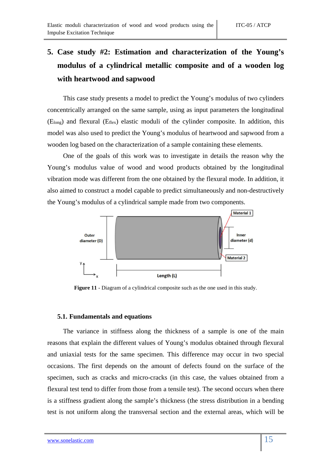# **5. Case study #2: Estimation and characterization of the Young's modulus of a cylindrical metallic composite and of a wooden log with heartwood and sapwood**

This case study presents a model to predict the Young's modulus of two cylinders concentrically arranged on the same sample, using as input parameters the longitudinal (Elong) and flexural (Eflex) elastic moduli of the cylinder composite. In addition, this model was also used to predict the Young's modulus of heartwood and sapwood from a wooden log based on the characterization of a sample containing these elements.

One of the goals of this work was to investigate in details the reason why the Young's modulus value of wood and wood products obtained by the longitudinal vibration mode was different from the one obtained by the flexural mode. In addition, it also aimed to construct a model capable to predict simultaneously and non-destructively the Young's modulus of a cylindrical sample made from two components.



**Figure 11** - Diagram of a cylindrical composite such as the one used in this study.

#### **5.1. Fundamentals and equations**

The variance in stiffness along the thickness of a sample is one of the main reasons that explain the different values of Young's modulus obtained through flexural and uniaxial tests for the same specimen. This difference may occur in two special occasions. The first depends on the amount of defects found on the surface of the specimen, such as cracks and micro-cracks (in this case, the values obtained from a flexural test tend to differ from those from a tensile test). The second occurs when there is a stiffness gradient along the sample's thickness (the stress distribution in a bending test is not uniform along the transversal section and the external areas, which will be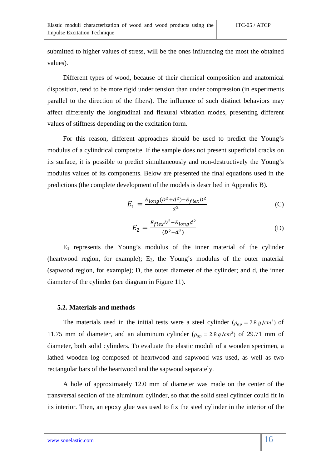submitted to higher values of stress, will be the ones influencing the most the obtained values).

Different types of wood, because of their chemical composition and anatomical disposition, tend to be more rigid under tension than under compression (in experiments parallel to the direction of the fibers). The influence of such distinct behaviors may affect differently the longitudinal and flexural vibration modes, presenting different values of stiffness depending on the excitation form.

For this reason, different approaches should be used to predict the Young's modulus of a cylindrical composite. If the sample does not present superficial cracks on its surface, it is possible to predict simultaneously and non-destructively the Young's modulus values of its components. Below are presented the final equations used in the predictions (the complete development of the models is described in Appendix B).

$$
E_1 = \frac{E_{long}(D^2 + d^2) - E_{flex}D^2}{d^2}
$$
 (C)

$$
E_2 = \frac{E_{flex}D^2 - E_{long}d^2}{(D^2 - d^2)}
$$
 (D)

 $E_1$  represents the Young's modulus of the inner material of the cylinder (heartwood region, for example);  $E_2$ , the Young's modulus of the outer material (sapwood region, for example); D, the outer diameter of the cylinder; and d, the inner diameter of the cylinder (see diagram in Figure 11).

#### **5.2. Materials and methods**

The materials used in the initial tests were a steel cylinder ( $\rho_{ap} = 7.8 \ g/cm^3$ ) of 11.75 mm of diameter, and an aluminum cylinder ( $\rho_{ap} = 2.8 g/cm^3$ ) of 29.71 mm of diameter, both solid cylinders. To evaluate the elastic moduli of a wooden specimen, a lathed wooden log composed of heartwood and sapwood was used, as well as two rectangular bars of the heartwood and the sapwood separately.

A hole of approximately 12.0 mm of diameter was made on the center of the transversal section of the aluminum cylinder, so that the solid steel cylinder could fit in its interior. Then, an epoxy glue was used to fix the steel cylinder in the interior of the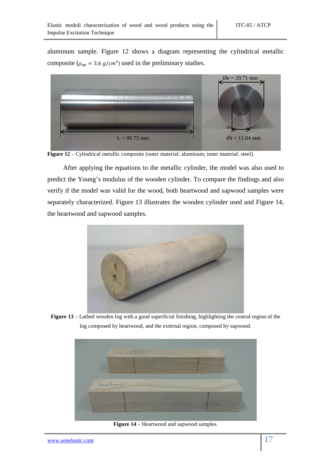aluminum sample. Figure 12 shows a diagram representing the cylindrical metallic composite ( $\rho_{ap}$  = 3,6  $g/cm^3$ ) used in the preliminary studies.



**Figure 12** – Cylindrical metallic composite (outer material: aluminum; inner material: steel).

After applying the equations to the metallic cylinder, the model was also used to predict the Young's modulus of the wooden cylinder. To compare the findings and also verify if the model was valid for the wood, both heartwood and sapwood samples were separately characterized. Figure 13 illustrates the wooden cylinder used and Figure 14, the heartwood and sapwood samples.



**Figure 13** – Lathed wooden log with a good superficial finishing, highlighting the central region of the log composed by heartwood, and the external region, composed by sapwood.



**Figure 14** – Heartwood and sapwood samples.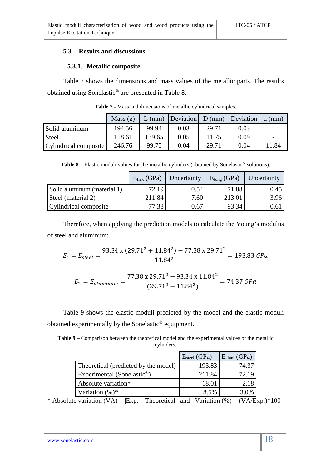#### **5.3. Results and discussions**

#### **5.3.1. Metallic composite**

Table 7 shows the dimensions and mass values of the metallic parts. The results obtained using Sonelastic® are presented in Table 8.

|                       | Mass $(g)$ | $L$ (mm) | Deviation D (mm) Deviation d (mm) |       |      |                          |
|-----------------------|------------|----------|-----------------------------------|-------|------|--------------------------|
| Solid aluminum        | 194.56     | 99.94    | 0.03                              | 29.71 | 0.03 | $\overline{\phantom{0}}$ |
| <b>Steel</b>          | 118.61     | 139.65   | 0.05                              | 11.75 | 0.09 | $\overline{\phantom{0}}$ |
| Cylindrical composite | 246.76     | 99.75    | 0.04                              | 29.71 | 0.04 | 11.84                    |

**Table 7** - Mass and dimensions of metallic cylindrical samples.

**Table 8** – Elastic moduli values for the metallic cylinders (obtained by Sonelastic<sup>®</sup> solutions).

|                             | $E_{flex}$ (GPa) | Uncertainty       | $Elong$ (GPa) | Uncertainty |
|-----------------------------|------------------|-------------------|---------------|-------------|
| Solid aluminum (material 1) | 72.19            | 0.54              | 71.88         | 0.45        |
| Steel (material 2)          | 211.84           | 7.60 <sub>1</sub> | 213.01        | 3.96        |
| Cylindrical composite       | 77.38            | 0.67              | 93.34         | ).61        |

Therefore, when applying the prediction models to calculate the Young's modulus of steel and aluminum:

$$
E_1 = E_{steel} = \frac{93.34 \times (29.71^2 + 11.84^2) - 77.38 \times 29.71^2}{11.84^2} = 193.83 \text{ GPa}
$$

$$
E_2 = E_{aluminum} = \frac{77.38 \times 29.71^2 - 93.34 \times 11.84^2}{(29.71^2 - 11.84^2)} = 74.37 \text{ GPa}
$$

Table 9 shows the elastic moduli predicted by the model and the elastic moduli obtained experimentally by the Sonelastic® equipment.

**Table 9 –** Comparison between the theoretical model and the experimental values of the metallic cylinders.

|                                         | $E_{\text{steel}}$ (GPa) | $E_{\text{alum}}$ (GPa) |
|-----------------------------------------|--------------------------|-------------------------|
| Theoretical (predicted by the model)    | 193.83                   | 74.37                   |
| Experimental (Sonelastic <sup>®</sup> ) | 211.84                   | 72.19                   |
| Absolute variation*                     | 18.01                    | 2.18                    |
| Variation $(\%)^*$                      | 8.5%                     | 3.0%                    |

\* Absolute variation  $(VA) = |Exp. - Theoretical|$  and Variation  $(\%) = (VA/Exp.) * 100$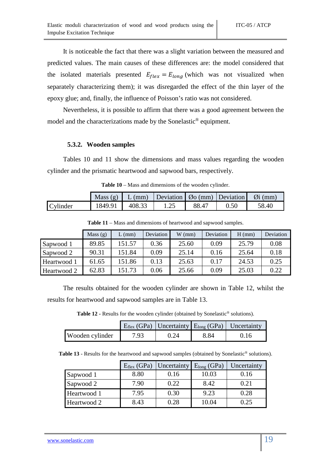It is noticeable the fact that there was a slight variation between the measured and predicted values. The main causes of these differences are: the model considered that the isolated materials presented  $E_{flex} = E_{long}$  (which was not visualized when separately characterizing them); it was disregarded the effect of the thin layer of the epoxy glue; and, finally, the influence of Poisson's ratio was not considered.

Nevertheless, it is possible to affirm that there was a good agreement between the model and the characterizations made by the Sonelastic® equipment.

#### **5.3.2. Wooden samples**

Tables 10 and 11 show the dimensions and mass values regarding the wooden cylinder and the prismatic heartwood and sapwood bars, respectively.

|          |         |        | Mass (g)   L (mm)   Deviation   $\varnothing$ o (mm)   Deviation   $\varnothing$ i (mm) |       |      |       |
|----------|---------|--------|-----------------------------------------------------------------------------------------|-------|------|-------|
| Cylinder | 1849.91 | 408.33 | 1.25                                                                                    | 88.47 | 0.50 | 58.40 |

**Table 10** – Mass and dimensions of the wooden cylinder.

|             | Mass $(g)$ | (mm)   | Deviation | $W$ (mm) | Deviation | $H$ (mm) | Deviation |
|-------------|------------|--------|-----------|----------|-----------|----------|-----------|
| Sapwood 1   | 89.85      | 151.57 | 0.36      | 25.60    | 0.09      | 25.79    | 0.08      |
| Sapwood 2   | 90.31      | 151.84 | 0.09      | 25.14    | 0.16      | 25.64    | 0.18      |
| Heartwood 1 | 61.65      | 151.86 | 0.13      | 25.63    | 0.17      | 24.53    | 0.25      |
| Heartwood 2 | 62.83      | 151.73 | 0.06      | 25.66    | 0.09      | 25.03    | 0.22      |

**Table 11** – Mass and dimensions of heartwood and sapwood samples.

The results obtained for the wooden cylinder are shown in Table 12, whilst the results for heartwood and sapwood samples are in Table 13.

Table 12 - Results for the wooden cylinder (obtained by Sonelastic<sup>®</sup> solutions).

|                 |      |      |      | $E_{flex}$ (GPa) Uncertainty $E_{long}$ (GPa) Uncertainty |
|-----------------|------|------|------|-----------------------------------------------------------|
| Wooden cylinder | 7.93 | 0.24 | 8.84 | 0.16                                                      |

**Table 13** - Results for the heartwood and sapwood samples (obtained by Sonelastic® solutions).

|             | $E_{flex}$ (GPa) | Uncertainty $E_{long}$ (GPa) |       | Uncertainty |
|-------------|------------------|------------------------------|-------|-------------|
| Sapwood 1   | 8.80             | 0.16                         | 10.03 | 0.16        |
| Sapwood 2   | 7.90             | 0.22                         | 8.42  | 0.21        |
| Heartwood 1 | 7.95             | 0.30                         | 9.23  | 0.28        |
| Heartwood 2 | 8.43             | 0.28                         | 10.04 | 0.25        |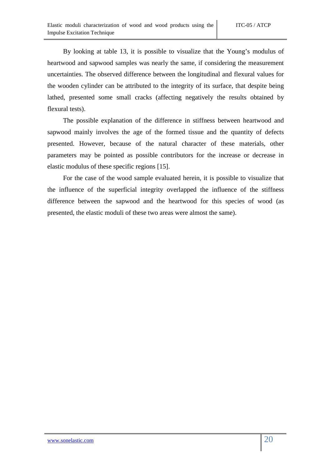By looking at table 13, it is possible to visualize that the Young's modulus of heartwood and sapwood samples was nearly the same, if considering the measurement uncertainties. The observed difference between the longitudinal and flexural values for the wooden cylinder can be attributed to the integrity of its surface, that despite being lathed, presented some small cracks (affecting negatively the results obtained by flexural tests).

The possible explanation of the difference in stiffness between heartwood and sapwood mainly involves the age of the formed tissue and the quantity of defects presented. However, because of the natural character of these materials, other parameters may be pointed as possible contributors for the increase or decrease in elastic modulus of these specific regions [15].

For the case of the wood sample evaluated herein, it is possible to visualize that the influence of the superficial integrity overlapped the influence of the stiffness difference between the sapwood and the heartwood for this species of wood (as presented, the elastic moduli of these two areas were almost the same).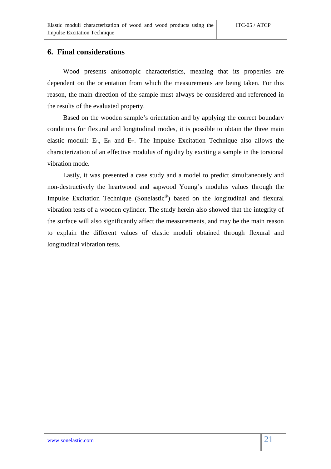### **6. Final considerations**

Wood presents anisotropic characteristics, meaning that its properties are dependent on the orientation from which the measurements are being taken. For this reason, the main direction of the sample must always be considered and referenced in the results of the evaluated property.

Based on the wooden sample's orientation and by applying the correct boundary conditions for flexural and longitudinal modes, it is possible to obtain the three main elastic moduli: EL, ER and ET. The Impulse Excitation Technique also allows the characterization of an effective modulus of rigidity by exciting a sample in the torsional vibration mode.

Lastly, it was presented a case study and a model to predict simultaneously and non-destructively the heartwood and sapwood Young's modulus values through the Impulse Excitation Technique (Sonelastic®) based on the longitudinal and flexural vibration tests of a wooden cylinder. The study herein also showed that the integrity of the surface will also significantly affect the measurements, and may be the main reason to explain the different values of elastic moduli obtained through flexural and longitudinal vibration tests.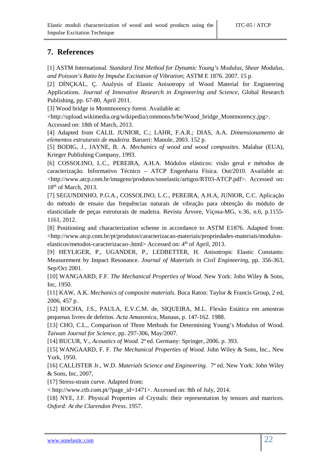## **7. References**

[1] ASTM International. *Standard Test Method for Dynamic Young's Modulus, Shear Modulus, and Poisson's Ratio by Impulse Excitation of Vibration*; ASTM E 1876. 2007. 15 p.

[2] DİNCKAL, C. Analysis of Elastic Anisotropy of Wood Material for Engineering Applications. *Journal of Innovative Research in Engineering and Science,* Global Research Publishing, pp. 67-80, April 2011.

[3] Wood bridge in Montmorency forest. Available at:

<http://upload.wikimedia.org/wikipedia/commons/b/be/Wood\_bridge\_Montmorency.jpg>. Accessed on: 18th of March, 2013.

[4] Adapted from CALIL JUNIOR, C.; LAHR, F.A.R.; DIAS, A.A. *Dimensionamento de elementos estruturais de madeira*. Barueri: Manole, 2003. 152 p.

[5] BODIG, J., JAYNE, B. A. *Mechanics of wood and wood composites*. Malabar (EUA), Krieger Publishing Company, 1993.

[6] COSSOLINO, L.C., PEREIRA, A.H.A. Módulos elásticos: visão geral e métodos de caracterização. Informativo Técnico – ATCP Engenharia Física. Out/2010. Available at: <http://www.atcp.com.br/imagens/produtos/sonelastic/artigos/RT03-ATCP.pdf>. Accessed on: 18<sup>th</sup> of March, 2013.

[7] SEGUNDINHO, P.G.A., COSSOLINO, L.C., PEREIRA, A.H.A, JUNIOR, C.C. Aplicação do método de ensaio das frequências naturais de vibração para obtenção do módulo de elasticidade de peças estruturais de madeira. Revista Árvore, Viçosa-MG, v.36, n.6, p.1155- 1161, 2012.

[8] Positioning and characterization scheme in accordance to ASTM E1876. Adapted from: <http://www.atcp.com.br/pt/produtos/caracterizacao-materiais/propriedades-materiais/moduloselasticos/metodos-caracterizacao-.html> Accessed on: 4<sup>th</sup> of April, 2013.

[9] HEYLIGER, P., UGANDER, P., LEDBETTER, H. Anisotropic Elastic Constants: Measurement by Impact Resonance. *Journal of Materials in Civil Engineering*, pp. 356-363, Sep/Oct 2001.

[10] WANGAARD, F.F. *The Mechanical Properties of Wood*. New York: John Wiley & Sons, Inc, 1950.

[11] KAW, A.K. *Mechanics of composite materials*. Boca Raton: Taylor & Francis Group, 2 ed, 2006, 457 p.

[12] ROCHA, J.S., PAULA, E.V.C.M. de, SIQUEIRA, M.L. Flexão Estática em amostras pequenas livres de defeitos. *Acta Amazonica*, Manaus, p. 147-162. 1988.

[13] CHO, C.L., Comparison of Three Methods for Determining Young's Modulus of Wood. *Taiwan Journal for Science,* pp. 297-306, May/2007.

[14] BUCUR, V., *Acoustics of Wood*. 2ª ed. Germany: Springer, 2006. p. 393.

[15] WANGAARD, F. F. *The Mechanical Properties of Wood*. John Wiley & Sons, Inc., New York, 1950.

[16] CALLISTER Jr., W.D. *Materials Science and Engineering*. 7ª ed. New York: John Wiley & Sons, Inc, 2007.

[17] Stress-strain curve. Adapted from:

< http://www.ctb.com.pt/?page\_id=1471>. Accessed on: 8th of July, 2014.

[18] NYE, J.F. Physical Properties of Crystals: their representation by tensors and matrices. *Oxford: At the Clarendon Press*. 1957.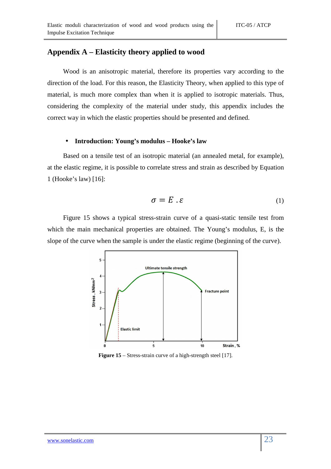## **Appendix A – Elasticity theory applied to wood**

Wood is an anisotropic material, therefore its properties vary according to the direction of the load. For this reason, the Elasticity Theory, when applied to this type of material, is much more complex than when it is applied to isotropic materials. Thus, considering the complexity of the material under study, this appendix includes the correct way in which the elastic properties should be presented and defined.

#### • **Introduction: Young's modulus – Hooke's law**

Based on a tensile test of an isotropic material (an annealed metal, for example), at the elastic regime, it is possible to correlate stress and strain as described by Equation 1 (Hooke's law) [16]:

$$
\sigma = E \cdot \varepsilon \tag{1}
$$

Figure 15 shows a typical stress-strain curve of a quasi-static tensile test from which the main mechanical properties are obtained. The Young's modulus, E, is the slope of the curve when the sample is under the elastic regime (beginning of the curve).



**Figure 15** – Stress-strain curve of a high-strength steel [17].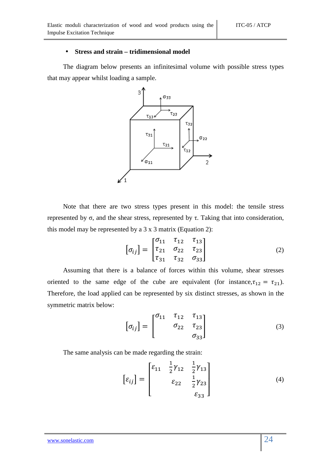#### • **Stress and strain – tridimensional model**

The diagram below presents an infinitesimal volume with possible stress types that may appear whilst loading a sample.



Note that there are two stress types present in this model: the tensile stress represented by σ, and the shear stress, represented by τ. Taking that into consideration, this model may be represented by a  $3 \times 3$  matrix (Equation 2):

$$
\[\sigma_{ij}\] = \begin{bmatrix} \sigma_{11} & \tau_{12} & \tau_{13} \\ \tau_{21} & \sigma_{22} & \tau_{23} \\ \tau_{31} & \tau_{32} & \sigma_{33} \end{bmatrix} \tag{2}
$$

Assuming that there is a balance of forces within this volume, shear stresses oriented to the same edge of the cube are equivalent (for instance,  $\tau_{12} = \tau_{21}$ ). Therefore, the load applied can be represented by six distinct stresses, as shown in the symmetric matrix below:

$$
\[\sigma_{ij}\] = \begin{bmatrix} \sigma_{11} & \tau_{12} & \tau_{13} \\ \sigma_{22} & \tau_{23} \\ \sigma_{33} \end{bmatrix} \tag{3}
$$

The same analysis can be made regarding the strain:

$$
\[\varepsilon_{ij}\] = \begin{bmatrix} \varepsilon_{11} & \frac{1}{2}\gamma_{12} & \frac{1}{2}\gamma_{13} \\ \varepsilon_{22} & \frac{1}{2}\gamma_{23} \\ \varepsilon_{33} & \varepsilon_{33} \end{bmatrix} \tag{4}
$$

#### www.sonelastic.com 24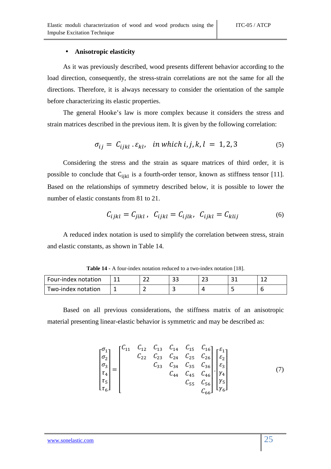#### • **Anisotropic elasticity**

As it was previously described, wood presents different behavior according to the load direction, consequently, the stress-strain correlations are not the same for all the directions. Therefore, it is always necessary to consider the orientation of the sample before characterizing its elastic properties.

The general Hooke's law is more complex because it considers the stress and strain matrices described in the previous item. It is given by the following correlation:

$$
\sigma_{ij} = C_{ijkl} \cdot \varepsilon_{kl}, \quad \text{in which } i, j, k, l = 1, 2, 3 \tag{5}
$$

Considering the stress and the strain as square matrices of third order, it is possible to conclude that  $C_{ijkl}$  is a fourth-order tensor, known as stiffness tensor [11]. Based on the relationships of symmetry described below, it is possible to lower the number of elastic constants from 81 to 21.

$$
C_{ijkl} = C_{jikl}, \ C_{ijkl} = C_{ijlk}, \ C_{ijkl} = C_{klij}
$$
 (6)

A reduced index notation is used to simplify the correlation between stress, strain and elastic constants, as shown in Table 14.

**Table 14 -** A four-index notation reduced to a two-index notation [18].

| Four-index notation | $\sim$<br><u>. .</u> | ົາ<br>-- | --- |  |
|---------------------|----------------------|----------|-----|--|
| Two-index notation  |                      |          |     |  |

Based on all previous considerations, the stiffness matrix of an anisotropic material presenting linear-elastic behavior is symmetric and may be described as:

$$
\begin{bmatrix} \sigma_1 \\ \sigma_2 \\ \sigma_3 \\ \tau_4 \\ \tau_5 \\ \tau_6 \end{bmatrix} = \begin{bmatrix} C_{11} & C_{12} & C_{13} & C_{14} & C_{15} & C_{16} \\ C_{22} & C_{23} & C_{24} & C_{25} & C_{26} \\ C_{33} & C_{34} & C_{35} & C_{36} \\ C_{44} & C_{45} & C_{46} \\ C_{55} & C_{56} \\ C_{66} \end{bmatrix} \begin{bmatrix} \varepsilon_1 \\ \varepsilon_2 \\ \varepsilon_3 \\ \varepsilon_4 \\ \varepsilon_5 \\ \varepsilon_6 \end{bmatrix}
$$
 (7)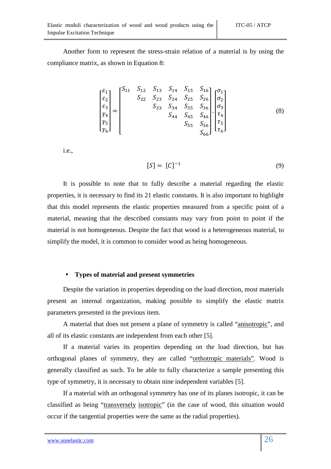Another form to represent the stress-strain relation of a material is by using the compliance matrix, as shown in Equation 8:

$$
\begin{bmatrix} \varepsilon_{1} \\ \varepsilon_{2} \\ \varepsilon_{3} \\ \gamma_{4} \\ \gamma_{5} \\ \gamma_{6} \end{bmatrix} = \begin{bmatrix} S_{11} & S_{12} & S_{13} & S_{14} & S_{15} & S_{16} \\ S_{22} & S_{23} & S_{24} & S_{25} & S_{26} \\ S_{33} & S_{34} & S_{35} & S_{36} \\ S_{44} & S_{45} & S_{46} \\ S_{55} & S_{56} \\ S_{66} \end{bmatrix} \begin{bmatrix} \sigma_{1} \\ \sigma_{2} \\ \sigma_{3} \\ \tau_{4} \\ \tau_{5} \\ \tau_{6} \end{bmatrix} \tag{8}
$$

i.e.,

$$
[S] = [C]^{-1} \tag{9}
$$

It is possible to note that to fully describe a material regarding the elastic properties, it is necessary to find its 21 elastic constants. It is also important to highlight that this model represents the elastic properties measured from a specific point of a material, meaning that the described constants may vary from point to point if the material is not homogeneous. Despite the fact that wood is a heterogeneous material, to simplify the model, it is common to consider wood as being homogeneous.

#### • **Types of material and present symmetries**

Despite the variation in properties depending on the load direction, most materials present an internal organization, making possible to simplify the elastic matrix parameters presented in the previous item.

A material that does not present a plane of symmetry is called "anisotropic", and all of its elastic constants are independent from each other [5].

If a material varies its properties depending on the load direction, but has orthogonal planes of symmetry, they are called "orthotropic materials". Wood is generally classified as such. To be able to fully characterize a sample presenting this type of symmetry, it is necessary to obtain nine independent variables [5].

If a material with an orthogonal symmetry has one of its planes isotropic, it can be classified as being "transversely isotropic" (in the case of wood, this situation would occur if the tangential properties were the same as the radial properties).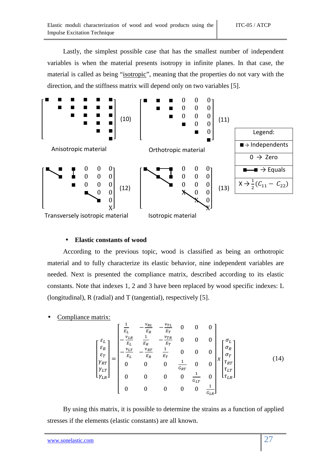Lastly, the simplest possible case that has the smallest number of independent variables is when the material presents isotropy in infinite planes. In that case, the material is called as being "isotropic", meaning that the properties do not vary with the direction, and the stiffness matrix will depend only on two variables [5].



#### • **Elastic constants of wood**

According to the previous topic, wood is classified as being an orthotropic material and to fully characterize its elastic behavior, nine independent variables are needed. Next is presented the compliance matrix, described according to its elastic constants. Note that indexes 1, 2 and 3 have been replaced by wood specific indexes: L (longitudinal), R (radial) and T (tangential), respectively [5].

Compliance matrix:

$$
\begin{bmatrix} \varepsilon_L \\ \varepsilon_R \\ \varepsilon_T \\ \gamma_{LT} \\ \gamma_{LR} \end{bmatrix} = \begin{bmatrix} \frac{1}{E_L} & -\frac{\nu_{RL}}{E_R} & -\frac{\nu_{TL}}{E_T} & 0 & 0 & 0 \\ -\frac{\nu_{LR}}{E_L} & \frac{1}{E_R} & -\frac{\nu_{TR}}{E_T} & 0 & 0 & 0 \\ -\frac{\nu_{LT}}{E_L} & -\frac{\nu_{RT}}{E_R} & \frac{1}{E_T} & 0 & 0 & 0 \\ 0 & 0 & 0 & \frac{1}{G_{RT}} & 0 & 0 \\ 0 & 0 & 0 & 0 & \frac{1}{G_{LT}} & 0 \\ 0 & 0 & 0 & 0 & \frac{1}{G_{LT}} & 0 \\ 0 & 0 & 0 & 0 & 0 & \frac{1}{G_{LR}} \end{bmatrix} \begin{bmatrix} \sigma_L \\ \sigma_R \\ \sigma_T \\ \tau_{LT} \\ \tau_{LR} \end{bmatrix}
$$
(14)

By using this matrix, it is possible to determine the strains as a function of applied stresses if the elements (elastic constants) are all known.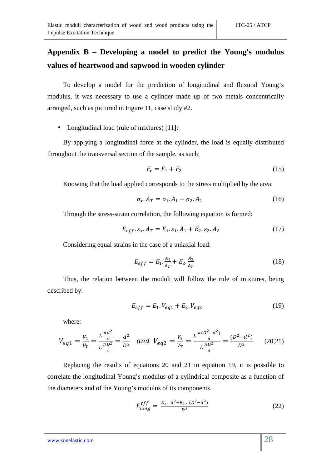# **Appendix B – Developing a model to predict the Young's modulus values of heartwood and sapwood in wooden cylinder**

To develop a model for the prediction of longitudinal and flexural Young's modulus, it was necessary to use a cylinder made up of two metals concentrically arranged, such as pictured in Figure 11, case study #2.

#### • Longitudinal load (rule of mixtures) [11]:

By applying a longitudinal force at the cylinder, the load is equally distributed throughout the transversal section of the sample, as such:

$$
F_x = F_1 + F_2 \tag{15}
$$

Knowing that the load applied corresponds to the stress multiplied by the area:

$$
\sigma_x \cdot A_T = \sigma_1 \cdot A_1 + \sigma_2 \cdot A_2 \tag{16}
$$

Through the stress-strain correlation, the following equation is formed:

$$
E_{eff} \t, \varepsilon_x \t, A_T = E_1 \t, \varepsilon_1 \t, A_1 + E_2 \t, \varepsilon_2 \t, A_2 \t\t(17)
$$

Considering equal strains in the case of a uniaxial load:

$$
E_{eff} = E_1 \cdot \frac{A_1}{A_T} + E_2 \cdot \frac{A_2}{A_T}
$$
 (18)

Thus, the relation between the moduli will follow the rule of mixtures, being described by:

$$
E_{eff} = E_1 \cdot V_{eq1} + E_2 \cdot V_{eq2} \tag{19}
$$

where:

$$
V_{eq1} = \frac{V_1}{V_T} = \frac{L\frac{\pi d^2}{4}}{L\frac{\pi D^2}{4}} = \frac{d^2}{D^2} \quad \text{and} \quad V_{eq2} = \frac{V_2}{V_T} = \frac{L\frac{\pi (D^2 - d^2)}{4}}{L\frac{\pi D^2}{4}} = \frac{(D^2 - d^2)}{D^2} \tag{20.21}
$$

Replacing the results of equations 20 and 21 in equation 19, it is possible to correlate the longitudinal Young's modulus of a cylindrical composite as a function of the diameters and of the Young's modulus of its components.

$$
E_{long}^{eff} = \frac{E_1 \cdot d^2 + E_2 \cdot (D^2 - d^2)}{D^2} \tag{22}
$$

#### www.sonelastic.com 28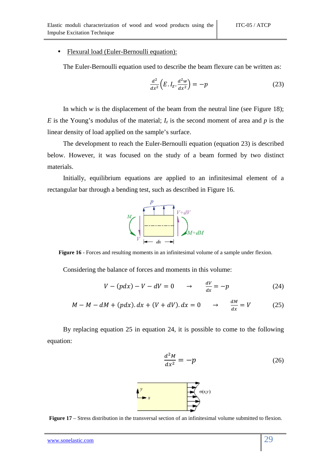#### • Flexural load (Euler-Bernoulli equation):

The Euler-Bernoulli equation used to describe the beam flexure can be written as:

$$
\frac{d^2}{dx^2}\left(E.I_z.\frac{d^2w}{dx^2}\right) = -p\tag{23}
$$

In which  $w$  is the displacement of the beam from the neutral line (see Figure 18); *E* is the Young's modulus of the material;  $I_z$  is the second moment of area and *p* is the linear density of load applied on the sample's surface.

The development to reach the Euler-Bernoulli equation (equation 23) is described below. However, it was focused on the study of a beam formed by two distinct materials.

Initially, equilibrium equations are applied to an infinitesimal element of a rectangular bar through a bending test, such as described in Figure 16.



**Figure 16** - Forces and resulting moments in an infinitesimal volume of a sample under flexion.

Considering the balance of forces and moments in this volume:

$$
V - (pdx) - V - dV = 0 \qquad \rightarrow \qquad \frac{dV}{dx} = -p \tag{24}
$$

$$
M - M - dM + (pdx).dx + (V + dV).dx = 0 \qquad \rightarrow \qquad \frac{dM}{dx} = V \tag{25}
$$

By replacing equation 25 in equation 24, it is possible to come to the following equation:





**Figure 17** – Stress distribution in the transversal section of an infinitesimal volume submitted to flexion.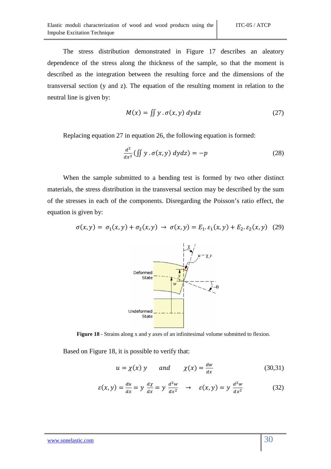The stress distribution demonstrated in Figure 17 describes an aleatory dependence of the stress along the thickness of the sample, so that the moment is described as the integration between the resulting force and the dimensions of the transversal section (y and z). The equation of the resulting moment in relation to the neutral line is given by:

$$
M(x) = \iint y \cdot \sigma(x, y) \, dy \, dz \tag{27}
$$

Replacing equation 27 in equation 26, the following equation is formed:

$$
\frac{d^2}{dx^2}(\iint y \cdot \sigma(x, y) \, dydz) = -p \tag{28}
$$

When the sample submitted to a bending test is formed by two other distinct materials, the stress distribution in the transversal section may be described by the sum of the stresses in each of the components. Disregarding the Poisson's ratio effect, the equation is given by:

$$
\sigma(x, y) = \sigma_1(x, y) + \sigma_2(x, y) \to \sigma(x, y) = E_1. \varepsilon_1(x, y) + E_2. \varepsilon_2(x, y) \tag{29}
$$



**Figure 18** - Strains along x and y axes of an infinitesimal volume submitted to flexion.

Based on Figure 18, it is possible to verify that:

$$
u = \chi(x) \quad y \quad \text{and} \quad \chi(x) = \frac{dw}{dx} \tag{30.31}
$$

$$
\varepsilon(x,y) = \frac{du}{dx} = y \frac{d\chi}{dx} = y \frac{d^2w}{dx^2} \quad \to \quad \varepsilon(x,y) = y \frac{d^2w}{dx^2} \tag{32}
$$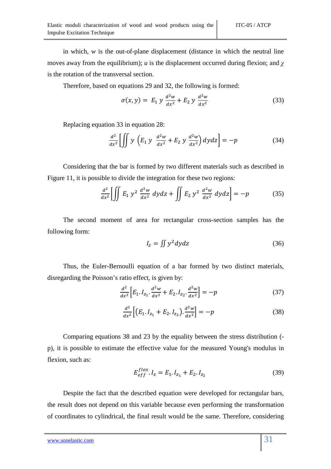in which,  $w$  is the out-of-plane displacement (distance in which the neutral line moves away from the equilibrium); *u* is the displacement occurred during flexion; and *χ* is the rotation of the transversal section.

Therefore, based on equations 29 and 32, the following is formed:

$$
\sigma(x, y) = E_1 y \frac{d^2 w}{dx^2} + E_2 y \frac{d^2 w}{dx^2}
$$
 (33)

Replacing equation 33 in equation 28:

$$
\frac{d^2}{dx^2} \left[ \iint y \left( E_1 y \frac{d^2 w}{dx^2} + E_2 y \frac{d^2 w}{dx^2} \right) dy dz \right] = -p \tag{34}
$$

Considering that the bar is formed by two different materials such as described in Figure 11, it is possible to divide the integration for these two regions:

$$
\frac{d^2}{dx^2} \left[ \iint E_1 \, y^2 \, \frac{d^2 w}{dx^2} \, dy \, dz + \iint E_2 \, y^2 \, \frac{d^2 w}{dx^2} \, dy \, dz \right] = -p \tag{35}
$$

The second moment of area for rectangular cross-section samples has the following form:

$$
I_z = \iint y^2 dy dz \tag{36}
$$

Thus, the Euler-Bernoulli equation of a bar formed by two distinct materials, disregarding the Poisson's ratio effect, is given by:

$$
\frac{d^2}{dx^2} \Big[ E_1 I_{z_1} \cdot \frac{d^2 w}{dx^2} + E_2 I_{z_2} \cdot \frac{d^2 w}{dx^2} \Big] = -p \tag{37}
$$

$$
\frac{d^2}{dx^2} \left[ \left( E_1 I_{z_1} + E_2 I_{z_2} \right) \frac{d^2 w}{dx^2} \right] = -p \tag{38}
$$

Comparing equations 38 and 23 by the equality between the stress distribution ( p), it is possible to estimate the effective value for the measured Young's modulus in flexion, such as:

$$
E_{eff}^{flex}.I_z = E_1.I_{z_1} + E_2.I_{z_2}
$$
 (39)

Despite the fact that the described equation were developed for rectangular bars, the result does not depend on this variable because even performing the transformation of coordinates to cylindrical, the final result would be the same. Therefore, considering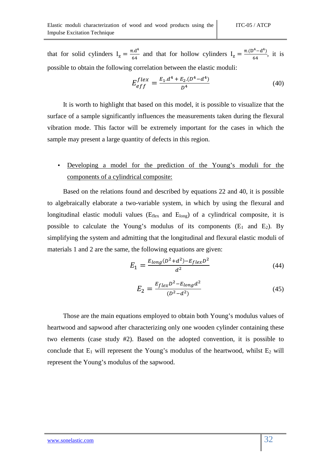that for solid cylinders  $I_z = \frac{\pi . d^4}{64}$  $\frac{\pi \cdot d^4}{64}$  and that for hollow cylinders  $I_z = \frac{\pi (D^4 - d^4)}{64}$  $\frac{(-a)}{64}$ , it is possible to obtain the following correlation between the elastic moduli:

$$
E_{eff}^{flex} = \frac{E_1 \cdot d^4 + E_2 \cdot (D^4 - d^4)}{D^4} \tag{40}
$$

It is worth to highlight that based on this model, it is possible to visualize that the surface of a sample significantly influences the measurements taken during the flexural vibration mode. This factor will be extremely important for the cases in which the sample may present a large quantity of defects in this region.

## • Developing a model for the prediction of the Young's moduli for the components of a cylindrical composite:

Based on the relations found and described by equations 22 and 40, it is possible to algebraically elaborate a two-variable system, in which by using the flexural and longitudinal elastic moduli values ( $E_{flex}$  and  $E_{long}$ ) of a cylindrical composite, it is possible to calculate the Young's modulus of its components  $(E_1 \text{ and } E_2)$ . By simplifying the system and admitting that the longitudinal and flexural elastic moduli of materials 1 and 2 are the same, the following equations are given:

$$
E_1 = \frac{E_{long}(D^2 + d^2) - E_{flex}D^2}{d^2} \tag{44}
$$

$$
E_2 = \frac{E_{flex}D^2 - E_{long}d^2}{(D^2 - d^2)}
$$
(45)

Those are the main equations employed to obtain both Young's modulus values of heartwood and sapwood after characterizing only one wooden cylinder containing these two elements (case study #2). Based on the adopted convention, it is possible to conclude that  $E_1$  will represent the Young's modulus of the heartwood, whilst  $E_2$  will represent the Young's modulus of the sapwood.